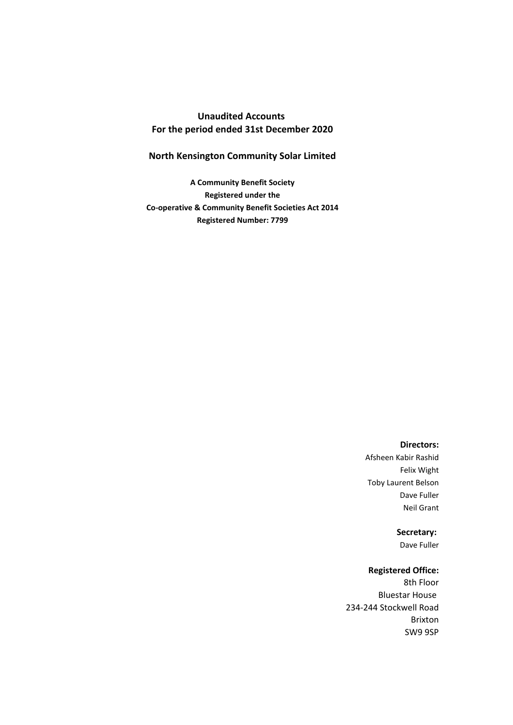# **Unaudited Accounts For the period ended 31st December 2020**

# **North Kensington Community Solar Limited**

**A Community Benefit Society Registered under the Co-operative & Community Benefit Societies Act 2014 Registered Number: 7799**

## **Directors:**

Afsheen Kabir Rashid Felix Wight Toby Laurent Belson Dave Fuller Neil Grant

# **Secretary:**

Dave Fuller

# **Registered Office:**

8th Floor Bluestar House 234-244 Stockwell Road Brixton SW9 9SP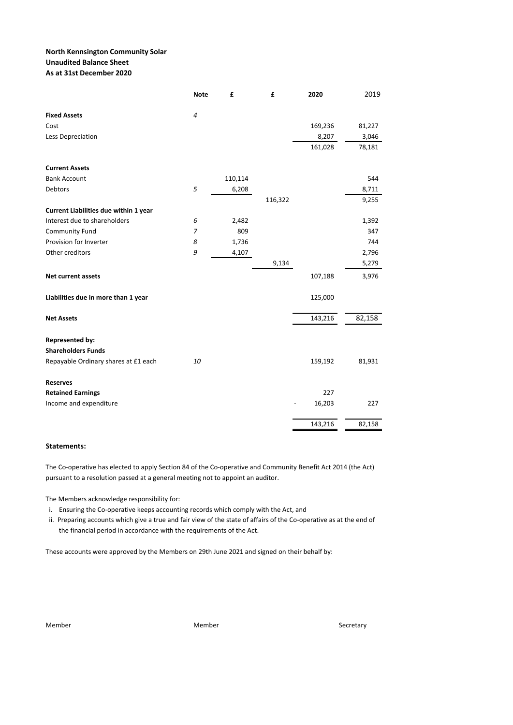## **North Kennsington Community Solar Unaudited Balance Sheet As at 31st December 2020**

|                                       | <b>Note</b> | £       | £       | 2020    | 2019   |
|---------------------------------------|-------------|---------|---------|---------|--------|
| <b>Fixed Assets</b>                   | 4           |         |         |         |        |
| Cost                                  |             |         |         | 169,236 | 81,227 |
| Less Depreciation                     |             |         |         | 8,207   | 3,046  |
|                                       |             |         |         | 161,028 | 78,181 |
| <b>Current Assets</b>                 |             |         |         |         |        |
| <b>Bank Account</b>                   |             | 110,114 |         |         | 544    |
| <b>Debtors</b>                        | 5           | 6,208   |         |         | 8,711  |
|                                       |             |         | 116,322 |         | 9,255  |
| Current Liabilities due within 1 year |             |         |         |         |        |
| Interest due to shareholders          | 6           | 2,482   |         |         | 1,392  |
| <b>Community Fund</b>                 | 7           | 809     |         |         | 347    |
| Provision for Inverter                | 8           | 1,736   |         |         | 744    |
| Other creditors                       | 9           | 4,107   |         |         | 2,796  |
|                                       |             |         | 9,134   |         | 5,279  |
| Net current assets                    |             |         |         | 107,188 | 3,976  |
| Liabilities due in more than 1 year   |             |         |         | 125,000 |        |
| <b>Net Assets</b>                     |             |         |         | 143,216 | 82,158 |
| <b>Represented by:</b>                |             |         |         |         |        |
| <b>Shareholders Funds</b>             |             |         |         |         |        |
| Repayable Ordinary shares at £1 each  | 10          |         |         | 159,192 | 81,931 |
| <b>Reserves</b>                       |             |         |         |         |        |
| <b>Retained Earnings</b>              |             |         |         | 227     |        |
| Income and expenditure                |             |         |         | 16,203  | 227    |
|                                       |             |         |         | 143,216 | 82,158 |

### **Statements:**

The Co-operative has elected to apply Section 84 of the Co-operative and Community Benefit Act 2014 (the Act) pursuant to a resolution passed at a general meeting not to appoint an auditor.

The Members acknowledge responsibility for:

i. Ensuring the Co-operative keeps accounting records which comply with the Act, and

 ii. Preparing accounts which give a true and fair view of the state of affairs of the Co-operative as at the end of the financial period in accordance with the requirements of the Act.

These accounts were approved by the Members on 29th June 2021 and signed on their behalf by: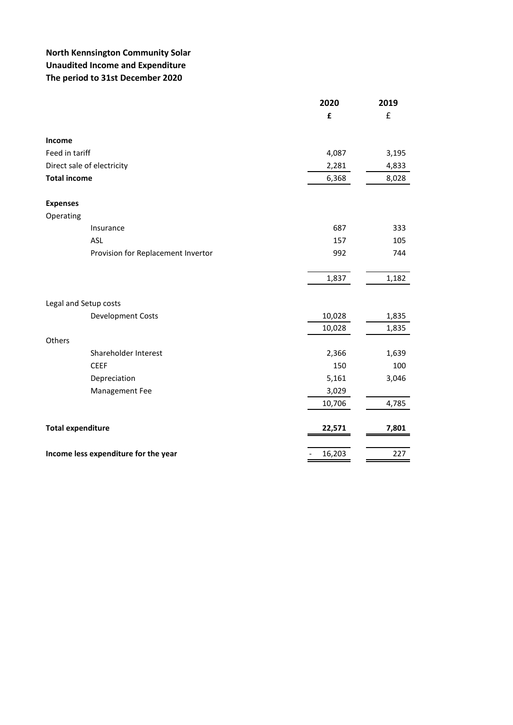# **North Kennsington Community Solar Unaudited Income and Expenditure The period to 31st December 2020**

|                                                   | 2020   | 2019  |
|---------------------------------------------------|--------|-------|
|                                                   | £      | £     |
| Income                                            |        |       |
| Feed in tariff                                    | 4,087  | 3,195 |
| Direct sale of electricity                        | 2,281  | 4,833 |
| <b>Total income</b>                               | 6,368  | 8,028 |
| <b>Expenses</b>                                   |        |       |
| Operating                                         |        |       |
| Insurance                                         | 687    | 333   |
| ASL                                               | 157    | 105   |
| Provision for Replacement Invertor                | 992    | 744   |
|                                                   | 1,837  | 1,182 |
|                                                   |        |       |
| Legal and Setup costs<br><b>Development Costs</b> | 10,028 | 1,835 |
|                                                   | 10,028 | 1,835 |
| Others                                            |        |       |
| Shareholder Interest                              | 2,366  | 1,639 |
| <b>CEEF</b>                                       | 150    | 100   |
| Depreciation                                      | 5,161  | 3,046 |
| Management Fee                                    | 3,029  |       |
|                                                   | 10,706 | 4,785 |
| <b>Total expenditure</b>                          | 22,571 | 7,801 |
| Income less expenditure for the year              | 16,203 | 227   |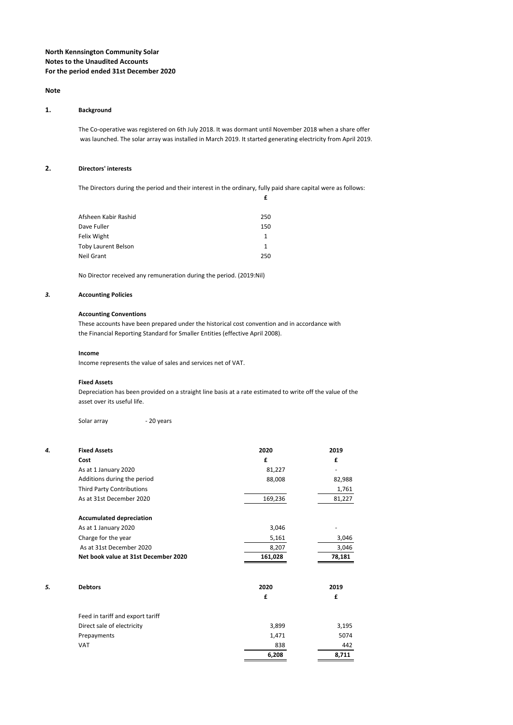## **North Kennsington Community Solar Notes to the Unaudited Accounts For the period ended 31st December 2020**

#### **Note**

#### **1. Background**

The Co-operative was registered on 6th July 2018. It was dormant until November 2018 when a share offer was launched. The solar array was installed in March 2019. It started generating electricity from April 2019.

### **2. Directors' interests**

The Directors during the period and their interest in the ordinary, fully paid share capital were as follows:

**£**

| Afsheen Kabir Rashid | 250 |
|----------------------|-----|
| Dave Fuller          | 150 |
| Felix Wight          |     |
| Toby Laurent Belson  | 1   |
| Neil Grant           | 250 |

No Director received any remuneration during the period. (2019:Nil)

#### *3.* **Accounting Policies**

#### **Accounting Conventions**

These accounts have been prepared under the historical cost convention and in accordance with the Financial Reporting Standard for Smaller Entities (effective April 2008).

#### **Income**

Income represents the value of sales and services net of VAT.

#### **Fixed Assets**

Depreciation has been provided on a straight line basis at a rate estimated to write off the value of the asset over its useful life.

Solar array **- 20 years** 

| 4. | <b>Fixed Assets</b>                  | 2020    | 2019   |
|----|--------------------------------------|---------|--------|
|    | Cost                                 | £       | £      |
|    | As at 1 January 2020                 | 81,227  |        |
|    | Additions during the period          | 88,008  | 82,988 |
|    | Third Party Contributions            |         | 1,761  |
|    | As at 31st December 2020             | 169,236 | 81,227 |
|    | <b>Accumulated depreciation</b>      |         |        |
|    | As at 1 January 2020                 | 3,046   |        |
|    | Charge for the year                  | 5,161   | 3,046  |
|    | As at 31st December 2020             | 8,207   | 3,046  |
|    | Net book value at 31st December 2020 | 161,028 | 78,181 |
| 5. | <b>Debtors</b>                       | 2020    | 2019   |
|    |                                      | £       |        |
|    |                                      |         | £      |
|    | Feed in tariff and export tariff     |         |        |
|    | Direct sale of electricity           | 3,899   | 3,195  |
|    | Prepayments                          | 1,471   | 5074   |
|    | <b>VAT</b>                           | 838     | 442    |
|    |                                      | 6,208   | 8,711  |